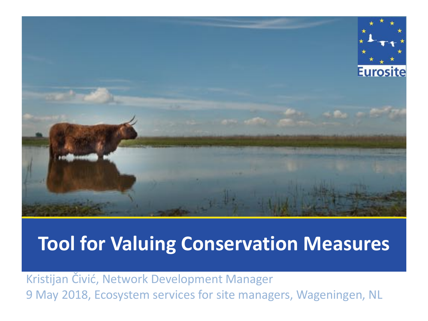

Kristijan Čivić, Network Development Manager 9 May 2018, Ecosystem services for site managers, Wageningen, NL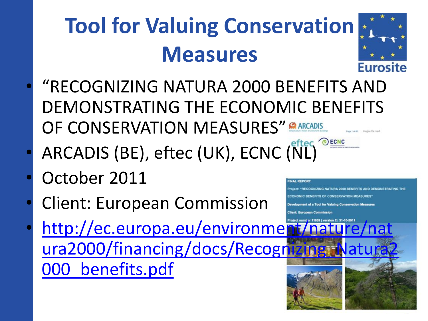

NG NATURA 2000 RENEEITS AND DEMONSTRATING THE

- "RECOGNIZING NATURA 2000 BENEFITS AND DEMONSTRATING THE ECONOMIC BENEFITS OF CONSERVATION MEASURES" **CARCADIS**
- ARCADIS (BE), eftec (UK), ECNC (NL)
- October 2011
- Client: European Commission
- http://ec.europa.eu/environme ura2000/financing/docs/Recognizing 000\_benefits.pdf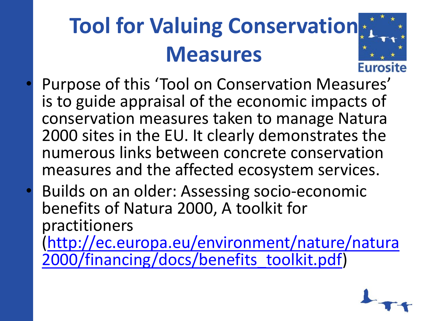

- Purpose of this 'Tool on Conservation Measures' is to guide appraisal of the economic impacts of conservation measures taken to manage Natura 2000 sites in the EU. It clearly demonstrates the numerous links between concrete conservation measures and the affected ecosystem services.
- Builds on an older: Assessing socio-economic benefits of Natura 2000, A toolkit for practitioners [\(http://ec.europa.eu/environment/nature/natura](http://ec.europa.eu/environment/nature/natura2000/financing/docs/benefits_toolkit.pdf) 2000/financing/docs/benefits\_toolkit.pdf)

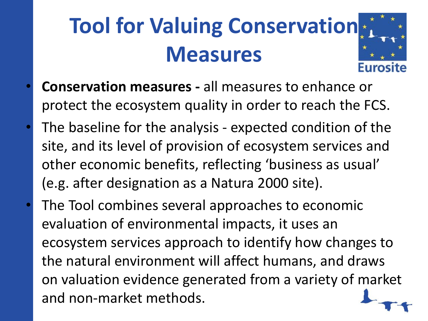

- **Conservation measures -** all measures to enhance or protect the ecosystem quality in order to reach the FCS.
- The baseline for the analysis expected condition of the site, and its level of provision of ecosystem services and other economic benefits, reflecting 'business as usual' (e.g. after designation as a Natura 2000 site).
- The Tool combines several approaches to economic evaluation of environmental impacts, it uses an ecosystem services approach to identify how changes to the natural environment will affect humans, and draws on valuation evidence generated from a variety of market and non-market methods.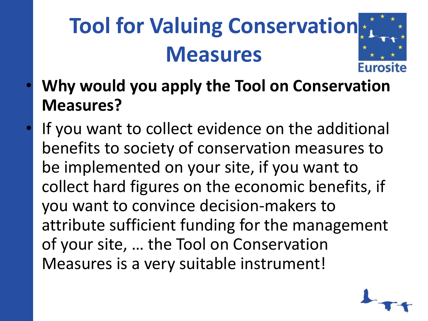

- **Why would you apply the Tool on Conservation Measures?**
- If you want to collect evidence on the additional benefits to society of conservation measures to be implemented on your site, if you want to collect hard figures on the economic benefits, if you want to convince decision-makers to attribute sufficient funding for the management of your site, … the Tool on Conservation Measures is a very suitable instrument!

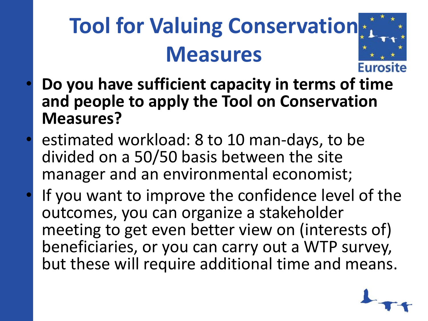

- **Do you have sufficient capacity in terms of time and people to apply the Tool on Conservation Measures?**
- estimated workload: 8 to 10 man-days, to be divided on a 50/50 basis between the site manager and an environmental economist;
- If you want to improve the confidence level of the outcomes, you can organize a stakeholder meeting to get even better view on (interests of) beneficiaries, or you can carry out a WTP survey, but these will require additional time and means.

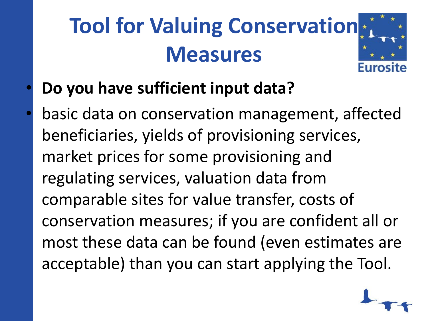

- **Do you have sufficient input data?**
- basic data on conservation management, affected beneficiaries, yields of provisioning services, market prices for some provisioning and regulating services, valuation data from comparable sites for value transfer, costs of conservation measures; if you are confident all or most these data can be found (even estimates are acceptable) than you can start applying the Tool.

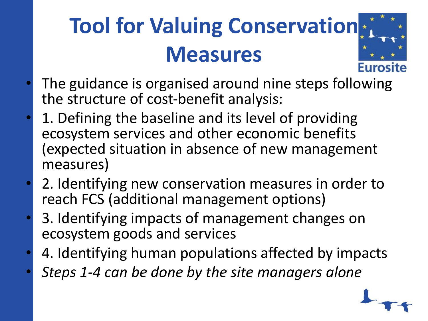

- The guidance is organised around nine steps following the structure of cost-benefit analysis:
- 1. Defining the baseline and its level of providing ecosystem services and other economic benefits (expected situation in absence of new management measures)
- 2. Identifying new conservation measures in order to reach FCS (additional management options)
- 3. Identifying impacts of management changes on ecosystem goods and services
- 4. Identifying human populations affected by impacts
- *Steps 1-4 can be done by the site managers alone*

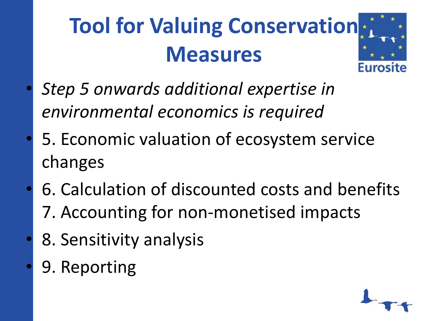

- *Step 5 onwards additional expertise in environmental economics is required*
- 5. Economic valuation of ecosystem service changes
- 6. Calculation of discounted costs and benefits
	- 7. Accounting for non-monetised impacts
- 8. Sensitivity analysis
- 9. Reporting

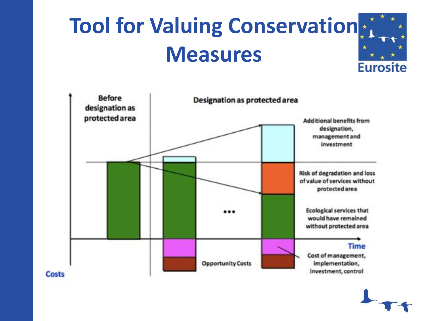



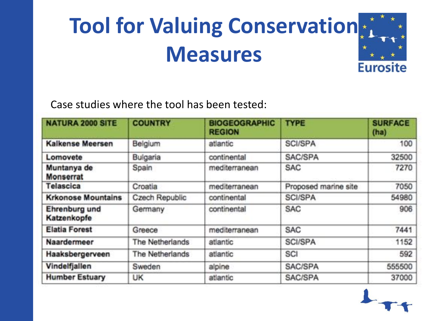

Case studies where the tool has been tested:

| <b>NATURA 2000 SITE</b>         | <b>COUNTRY</b>  | <b>BIOGEOGRAPHIC</b><br><b>REGION</b> | <b>TYPE</b>          | <b>SURFACE</b><br>(ha) |
|---------------------------------|-----------------|---------------------------------------|----------------------|------------------------|
| Kalkense Meersen                | Belgium         | atlantic                              | <b>SCI/SPA</b>       | 100                    |
| Lomovete                        | Bulgaria        | continental                           | SAC/SPA              | 32500                  |
| Muntanya de<br><b>Monserrat</b> | Spain           | mediterranean                         | <b>SAC</b>           | 7270                   |
| Telascica                       | Croatia         | mediterranean                         | Proposed marine site | 7050                   |
| <b>Krkonose Mountains</b>       | Czech Republic  | continental                           | <b>SCI/SPA</b>       | 54980                  |
| Ehrenburg und<br>Katzenkopfe    | Germany         | continental                           | <b>SAC</b>           | 906                    |
| <b>Elatia Forest</b>            | Greece          | mediterranean                         | <b>SAC</b>           | 7441                   |
| Naardermeer                     | The Netherlands | atlantic                              | <b>SCI/SPA</b>       | 1152                   |
| Haaksbergerveen                 | The Netherlands | atlantic                              | SCI                  | 592                    |
| Vindelfjallen                   | Sweden          | alpine                                | SAC/SPA              | 555500                 |
| <b>Humber Estuary</b>           | UK              | atlantic                              | SAC/SPA              | 37000                  |